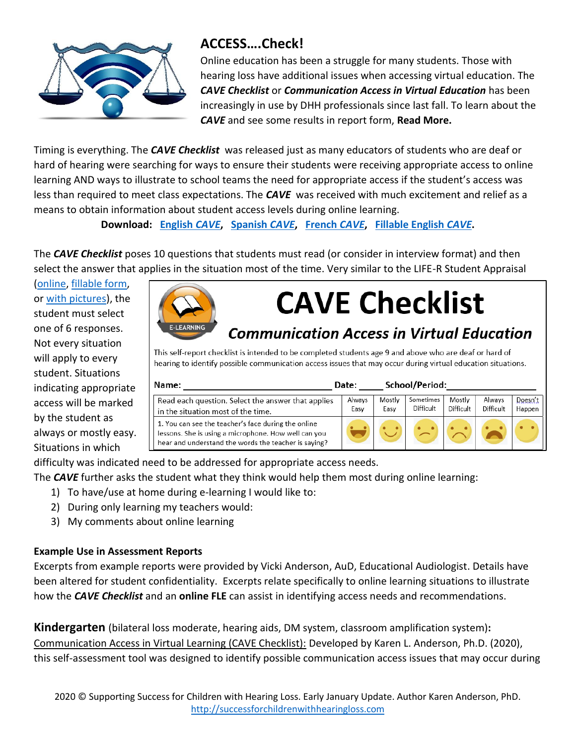

### **ACCESS….Check!**

Online education has been a struggle for many students. Those with hearing loss have additional issues when accessing virtual education. The *CAVE Checklist* or *Communication Access in Virtual Education* has been increasingly in use by DHH professionals since last fall. To learn about the *CAVE* and see some results in report form, **Read More.** 

Timing is everything. The *CAVE Checklist* was released just as many educators of students who are deaf or hard of hearing were searching for ways to ensure their students were receiving appropriate access to online learning AND ways to illustrate to school teams the need for appropriate access if the student's access was less than required to meet class expectations. The *CAVE* was received with much excitement and relief as a means to obtain information about student access levels during online learning.

**Download: [English](https://teachertoolstakeout.com/1166-disclosure-of-hearing-loss)** *CAVE***, [Spanish](https://teachertoolstakeout.com/1190-disclosure-of-hearing-loss)** *CAVE***, [French](https://teachertoolstakeout.com/1165-disclosure-of-hearing-loss)** *CAVE***, [Fillable English](https://teachertoolstakeout.com/1166-disclosure-of-hearing-loss)** *CAVE***.**

The *CAVE Checklist* poses 10 questions that students must read (or consider in interview format) and then select the answer that applies in the situation most of the time. Very similar to the LIFE-R Student Appraisal

[\(online,](https://successforkidswithhearingloss.com/for-professionals/listening-inventory-for-education-revised-life-r/) [fillable form,](https://teachertoolstakeout.com/1187-listening-environments) or [with pictures\)](https://teachertoolstakeout.com/0052-teacher-info-assessment), the student must select one of 6 responses. Not every situation will apply to every student. Situations indicating appropriate access will be marked by the student as always or mostly easy. Situations in which



# **CAVE Checklist**

## **Communication Access in Virtual Education**

This self-report checklist is intended to be completed students age 9 and above who are deaf or hard of hearing to identify possible communication access issues that may occur during virtual education situations.

| Name:                                                                                                                                                               | Date:          |                | School/Period:         |                     |                     |                   |
|---------------------------------------------------------------------------------------------------------------------------------------------------------------------|----------------|----------------|------------------------|---------------------|---------------------|-------------------|
| Read each question. Select the answer that applies<br>in the situation most of the time.                                                                            | Always<br>Easv | Mostly<br>Easv | Sometimes<br>Difficult | Mostly<br>Difficult | Always<br>Difficult | Doesn't<br>Happen |
| 1. You can see the teacher's face during the online<br>lessons. She is using a microphone. How well can you<br>hear and understand the words the teacher is saying? |                |                |                        |                     |                     |                   |

difficulty was indicated need to be addressed for appropriate access needs.

The *CAVE* further asks the student what they think would help them most during online learning:

- 1) To have/use at home during e-learning I would like to:
- 2) During only learning my teachers would:
- 3) My comments about online learning

#### **Example Use in Assessment Reports**

Excerpts from example reports were provided by Vicki Anderson, AuD, Educational Audiologist. Details have been altered for student confidentiality. Excerpts relate specifically to online learning situations to illustrate how the *CAVE Checklist* and an **online FLE** can assist in identifying access needs and recommendations.

**Kindergarten** (bilateral loss moderate, hearing aids, DM system, classroom amplification system)**:** Communication Access in Virtual Learning (CAVE Checklist): Developed by Karen L. Anderson, Ph.D. (2020), this self-assessment tool was designed to identify possible communication access issues that may occur during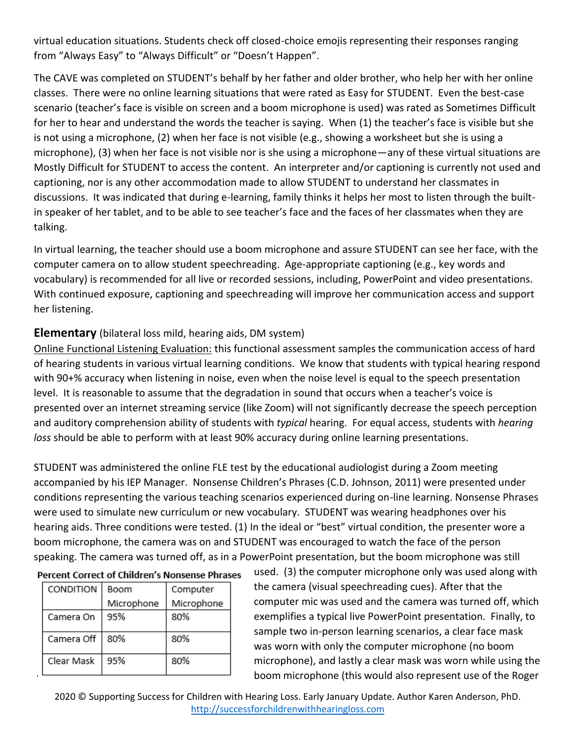virtual education situations. Students check off closed-choice emojis representing their responses ranging from "Always Easy" to "Always Difficult" or "Doesn't Happen".

The CAVE was completed on STUDENT's behalf by her father and older brother, who help her with her online classes. There were no online learning situations that were rated as Easy for STUDENT. Even the best-case scenario (teacher's face is visible on screen and a boom microphone is used) was rated as Sometimes Difficult for her to hear and understand the words the teacher is saying. When (1) the teacher's face is visible but she is not using a microphone, (2) when her face is not visible (e.g., showing a worksheet but she is using a microphone), (3) when her face is not visible nor is she using a microphone—any of these virtual situations are Mostly Difficult for STUDENT to access the content. An interpreter and/or captioning is currently not used and captioning, nor is any other accommodation made to allow STUDENT to understand her classmates in discussions. It was indicated that during e-learning, family thinks it helps her most to listen through the builtin speaker of her tablet, and to be able to see teacher's face and the faces of her classmates when they are talking.

In virtual learning, the teacher should use a boom microphone and assure STUDENT can see her face, with the computer camera on to allow student speechreading. Age-appropriate captioning (e.g., key words and vocabulary) is recommended for all live or recorded sessions, including, PowerPoint and video presentations. With continued exposure, captioning and speechreading will improve her communication access and support her listening.

#### **Elementary** (bilateral loss mild, hearing aids, DM system)

Online Functional Listening Evaluation: this functional assessment samples the communication access of hard of hearing students in various virtual learning conditions. We know that students with typical hearing respond with 90+% accuracy when listening in noise, even when the noise level is equal to the speech presentation level. It is reasonable to assume that the degradation in sound that occurs when a teacher's voice is presented over an internet streaming service (like Zoom) will not significantly decrease the speech perception and auditory comprehension ability of students with *typical* hearing. For equal access, students with *hearing loss* should be able to perform with at least 90% accuracy during online learning presentations.

STUDENT was administered the online FLE test by the educational audiologist during a Zoom meeting accompanied by his IEP Manager. Nonsense Children's Phrases (C.D. Johnson, 2011) were presented under conditions representing the various teaching scenarios experienced during on-line learning. Nonsense Phrases were used to simulate new curriculum or new vocabulary. STUDENT was wearing headphones over his hearing aids. Three conditions were tested. (1) In the ideal or "best" virtual condition, the presenter wore a boom microphone, the camera was on and STUDENT was encouraged to watch the face of the person speaking. The camera was turned off, as in a PowerPoint presentation, but the boom microphone was still

|  | <b>Percent Correct of Children's Nonsense Phrases</b> |  |
|--|-------------------------------------------------------|--|
|--|-------------------------------------------------------|--|

| CONDITION  | Boom       | Computer   |  |
|------------|------------|------------|--|
|            | Microphone | Microphone |  |
| Camera On  | 95%        | 80%        |  |
| Camera Off | 80%        | 80%        |  |
| Clear Mask | 95%        | 80%        |  |

used. (3) the computer microphone only was used along with the camera (visual speechreading cues). After that the computer mic was used and the camera was turned off, which exemplifies a typical live PowerPoint presentation. Finally, to sample two in-person learning scenarios, a clear face mask was worn with only the computer microphone (no boom microphone), and lastly a clear mask was worn while using the boom microphone (this would also represent use of the Roger

2020 © Supporting Success for Children with Hearing Loss. Early January Update. Author Karen Anderson, PhD. [http://successforchildrenwithhearingloss.com](http://successforchildrenwithhearingloss.com/)